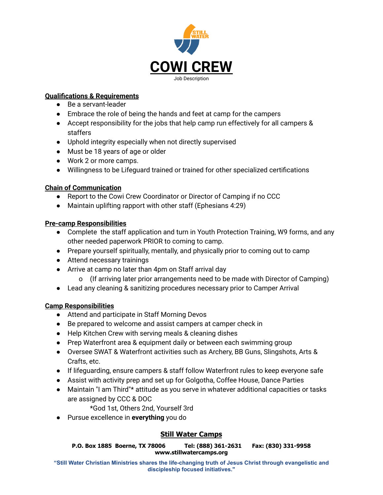

## **Qualifications & Requirements**

- Be a servant-leader
- Embrace the role of being the hands and feet at camp for the campers
- Accept responsibility for the jobs that help camp run effectively for all campers & staffers
- Uphold integrity especially when not directly supervised
- Must be 18 years of age or older
- Work 2 or more camps.
- Willingness to be Lifeguard trained or trained for other specialized certifications

#### **Chain of Communication**

- Report to the Cowi Crew Coordinator or Director of Camping if no CCC
- Maintain uplifting rapport with other staff (Ephesians 4:29)

## **Pre-camp Responsibilities**

- Complete the staff application and turn in Youth Protection Training, W9 forms, and any other needed paperwork PRIOR to coming to camp.
- Prepare yourself spiritually, mentally, and physically prior to coming out to camp
- Attend necessary trainings
- Arrive at camp no later than 4pm on Staff arrival day
	- o (If arriving later prior arrangements need to be made with Director of Camping)
- Lead any cleaning & sanitizing procedures necessary prior to Camper Arrival

## **Camp Responsibilities**

- Attend and participate in Staff Morning Devos
- Be prepared to welcome and assist campers at camper check in
- Help Kitchen Crew with serving meals & cleaning dishes
- Prep Waterfront area & equipment daily or between each swimming group
- Oversee SWAT & Waterfront activities such as Archery, BB Guns, Slingshots, Arts & Crafts, etc.
- If lifeguarding, ensure campers & staff follow Waterfront rules to keep everyone safe
- Assist with activity prep and set up for Golgotha, Coffee House, Dance Parties
- Maintain "I am Third"\* attitude as you serve in whatever additional capacities or tasks are assigned by CCC & DOC

\*God 1st, Others 2nd, Yourself 3rd

● Pursue excellence in **everything** you do

# **Still Water Camps**

**P.O. Box 1885 Boerne, TX 78006 Tel: (888) 361-2631 Fax: (830) 331-9958 www.stillwatercamps.org**

**"Still Water Christian Ministries shares the life-changing truth of Jesus Christ through evangelistic and discipleship focused initiatives."**